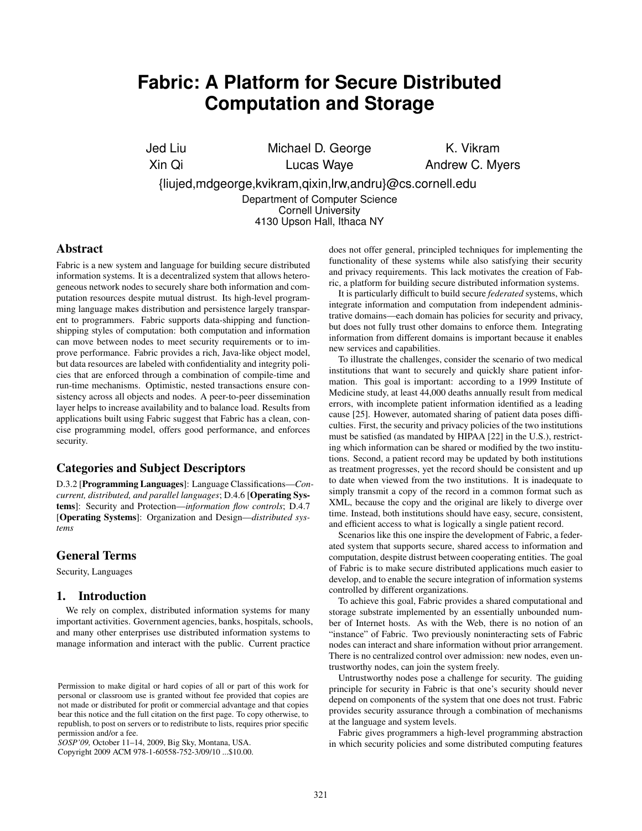# **Fabric: A Platform for Secure Distributed Computation and Storage**

Jed Liu Michael D. George K. Vikram Xin Qi **Lucas Waye Andrew C. Myers** 

{liujed,mdgeorge,kvikram,qixin,lrw,andru}@cs.cornell.edu Department of Computer Science Cornell University 4130 Upson Hall, Ithaca NY

# Abstract

Fabric is a new system and language for building secure distributed information systems. It is a decentralized system that allows heterogeneous network nodes to securely share both information and computation resources despite mutual distrust. Its high-level programming language makes distribution and persistence largely transparent to programmers. Fabric supports data-shipping and functionshipping styles of computation: both computation and information can move between nodes to meet security requirements or to improve performance. Fabric provides a rich, Java-like object model, but data resources are labeled with confidentiality and integrity policies that are enforced through a combination of compile-time and run-time mechanisms. Optimistic, nested transactions ensure consistency across all objects and nodes. A peer-to-peer dissemination layer helps to increase availability and to balance load. Results from applications built using Fabric suggest that Fabric has a clean, concise programming model, offers good performance, and enforces security.

# Categories and Subject Descriptors

D.3.2 [Programming Languages]: Language Classifications—*Concurrent, distributed, and parallel languages*; D.4.6 [Operating Systems]: Security and Protection—*information flow controls*; D.4.7 [Operating Systems]: Organization and Design—*distributed systems*

## General Terms

Security, Languages

# 1. Introduction

We rely on complex, distributed information systems for many important activities. Government agencies, banks, hospitals, schools, and many other enterprises use distributed information systems to manage information and interact with the public. Current practice

Copyright 2009 ACM 978-1-60558-752-3/09/10 ...\$10.00.

does not offer general, principled techniques for implementing the functionality of these systems while also satisfying their security and privacy requirements. This lack motivates the creation of Fabric, a platform for building secure distributed information systems.

It is particularly difficult to build secure *federated* systems, which integrate information and computation from independent administrative domains—each domain has policies for security and privacy, but does not fully trust other domains to enforce them. Integrating information from different domains is important because it enables new services and capabilities.

To illustrate the challenges, consider the scenario of two medical institutions that want to securely and quickly share patient information. This goal is important: according to a 1999 Institute of Medicine study, at least 44,000 deaths annually result from medical errors, with incomplete patient information identified as a leading cause [25]. However, automated sharing of patient data poses difficulties. First, the security and privacy policies of the two institutions must be satisfied (as mandated by HIPAA [22] in the U.S.), restricting which information can be shared or modified by the two institutions. Second, a patient record may be updated by both institutions as treatment progresses, yet the record should be consistent and up to date when viewed from the two institutions. It is inadequate to simply transmit a copy of the record in a common format such as XML, because the copy and the original are likely to diverge over time. Instead, both institutions should have easy, secure, consistent, and efficient access to what is logically a single patient record.

Scenarios like this one inspire the development of Fabric, a federated system that supports secure, shared access to information and computation, despite distrust between cooperating entities. The goal of Fabric is to make secure distributed applications much easier to develop, and to enable the secure integration of information systems controlled by different organizations.

To achieve this goal, Fabric provides a shared computational and storage substrate implemented by an essentially unbounded number of Internet hosts. As with the Web, there is no notion of an "instance" of Fabric. Two previously noninteracting sets of Fabric nodes can interact and share information without prior arrangement. There is no centralized control over admission: new nodes, even untrustworthy nodes, can join the system freely.

Untrustworthy nodes pose a challenge for security. The guiding principle for security in Fabric is that one's security should never depend on components of the system that one does not trust. Fabric provides security assurance through a combination of mechanisms at the language and system levels.

Fabric gives programmers a high-level programming abstraction in which security policies and some distributed computing features

Permission to make digital or hard copies of all or part of this work for personal or classroom use is granted without fee provided that copies are not made or distributed for profit or commercial advantage and that copies bear this notice and the full citation on the first page. To copy otherwise, to republish, to post on servers or to redistribute to lists, requires prior specific permission and/or a fee.

*SOSP'09,* October 11–14, 2009, Big Sky, Montana, USA.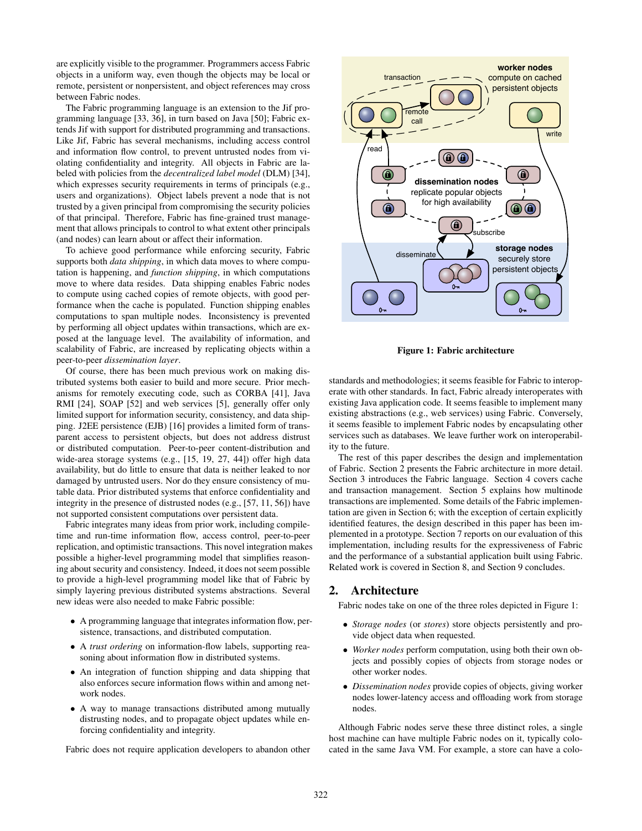are explicitly visible to the programmer. Programmers access Fabric objects in a uniform way, even though the objects may be local or remote, persistent or nonpersistent, and object references may cross between Fabric nodes.

The Fabric programming language is an extension to the Jif programming language [33, 36], in turn based on Java [50]; Fabric extends Jif with support for distributed programming and transactions. Like Jif, Fabric has several mechanisms, including access control and information flow control, to prevent untrusted nodes from violating confidentiality and integrity. All objects in Fabric are labeled with policies from the *decentralized label model* (DLM) [34], which expresses security requirements in terms of principals (e.g., users and organizations). Object labels prevent a node that is not trusted by a given principal from compromising the security policies of that principal. Therefore, Fabric has fine-grained trust management that allows principals to control to what extent other principals (and nodes) can learn about or affect their information.

To achieve good performance while enforcing security, Fabric supports both *data shipping*, in which data moves to where computation is happening, and *function shipping*, in which computations move to where data resides. Data shipping enables Fabric nodes to compute using cached copies of remote objects, with good performance when the cache is populated. Function shipping enables computations to span multiple nodes. Inconsistency is prevented by performing all object updates within transactions, which are exposed at the language level. The availability of information, and scalability of Fabric, are increased by replicating objects within a peer-to-peer *dissemination layer*.

Of course, there has been much previous work on making distributed systems both easier to build and more secure. Prior mechanisms for remotely executing code, such as CORBA [41], Java RMI [24], SOAP [52] and web services [5], generally offer only limited support for information security, consistency, and data shipping. J2EE persistence (EJB) [16] provides a limited form of transparent access to persistent objects, but does not address distrust or distributed computation. Peer-to-peer content-distribution and wide-area storage systems (e.g., [15, 19, 27, 44]) offer high data availability, but do little to ensure that data is neither leaked to nor damaged by untrusted users. Nor do they ensure consistency of mutable data. Prior distributed systems that enforce confidentiality and integrity in the presence of distrusted nodes (e.g., [57, 11, 56]) have not supported consistent computations over persistent data.

Fabric integrates many ideas from prior work, including compiletime and run-time information flow, access control, peer-to-peer replication, and optimistic transactions. This novel integration makes possible a higher-level programming model that simplifies reasoning about security and consistency. Indeed, it does not seem possible to provide a high-level programming model like that of Fabric by simply layering previous distributed systems abstractions. Several new ideas were also needed to make Fabric possible:

- A programming language that integrates information flow, persistence, transactions, and distributed computation.
- A *trust ordering* on information-flow labels, supporting reasoning about information flow in distributed systems.
- An integration of function shipping and data shipping that also enforces secure information flows within and among network nodes.
- A way to manage transactions distributed among mutually distrusting nodes, and to propagate object updates while enforcing confidentiality and integrity.

Fabric does not require application developers to abandon other



Figure 1: Fabric architecture

standards and methodologies; it seems feasible for Fabric to interoperate with other standards. In fact, Fabric already interoperates with existing Java application code. It seems feasible to implement many existing abstractions (e.g., web services) using Fabric. Conversely, it seems feasible to implement Fabric nodes by encapsulating other services such as databases. We leave further work on interoperability to the future.

The rest of this paper describes the design and implementation of Fabric. Section 2 presents the Fabric architecture in more detail. Section 3 introduces the Fabric language. Section 4 covers cache and transaction management. Section 5 explains how multinode transactions are implemented. Some details of the Fabric implementation are given in Section 6; with the exception of certain explicitly identified features, the design described in this paper has been implemented in a prototype. Section 7 reports on our evaluation of this implementation, including results for the expressiveness of Fabric and the performance of a substantial application built using Fabric. Related work is covered in Section 8, and Section 9 concludes.

# 2. Architecture

Fabric nodes take on one of the three roles depicted in Figure 1:

- *Storage nodes* (or *stores*) store objects persistently and provide object data when requested.
- *Worker nodes* perform computation, using both their own objects and possibly copies of objects from storage nodes or other worker nodes.
- *Dissemination nodes* provide copies of objects, giving worker nodes lower-latency access and offloading work from storage nodes.

Although Fabric nodes serve these three distinct roles, a single host machine can have multiple Fabric nodes on it, typically colocated in the same Java VM. For example, a store can have a colo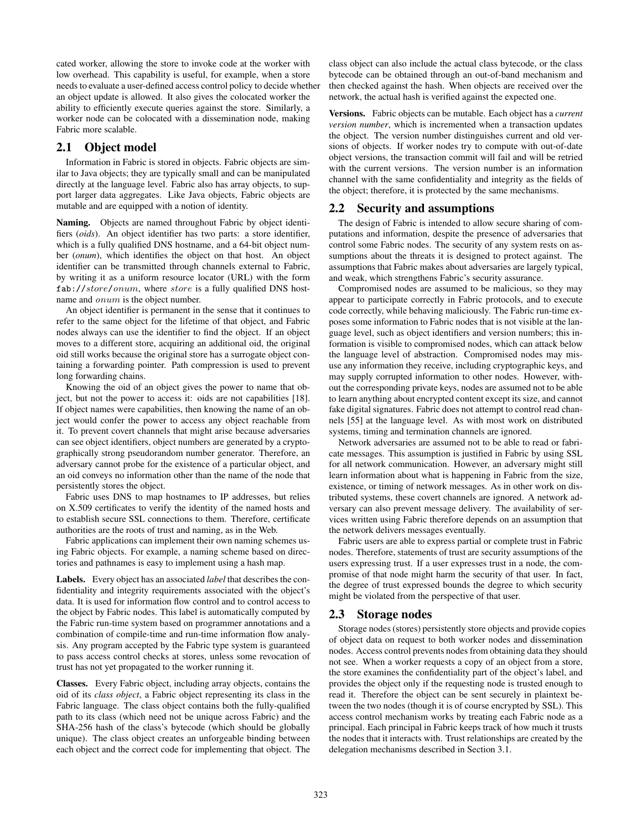cated worker, allowing the store to invoke code at the worker with low overhead. This capability is useful, for example, when a store needs to evaluate a user-defined access control policy to decide whether an object update is allowed. It also gives the colocated worker the ability to efficiently execute queries against the store. Similarly, a worker node can be colocated with a dissemination node, making Fabric more scalable.

# 2.1 Object model

Information in Fabric is stored in objects. Fabric objects are similar to Java objects; they are typically small and can be manipulated directly at the language level. Fabric also has array objects, to support larger data aggregates. Like Java objects, Fabric objects are mutable and are equipped with a notion of identity.

Naming. Objects are named throughout Fabric by object identifiers (*oids*). An object identifier has two parts: a store identifier, which is a fully qualified DNS hostname, and a 64-bit object number (*onum*), which identifies the object on that host. An object identifier can be transmitted through channels external to Fabric, by writing it as a uniform resource locator (URL) with the form fab://store/onum, where store is a fully qualified DNS hostname and *onum* is the object number.

An object identifier is permanent in the sense that it continues to refer to the same object for the lifetime of that object, and Fabric nodes always can use the identifier to find the object. If an object moves to a different store, acquiring an additional oid, the original oid still works because the original store has a surrogate object containing a forwarding pointer. Path compression is used to prevent long forwarding chains.

Knowing the oid of an object gives the power to name that object, but not the power to access it: oids are not capabilities [18]. If object names were capabilities, then knowing the name of an object would confer the power to access any object reachable from it. To prevent covert channels that might arise because adversaries can see object identifiers, object numbers are generated by a cryptographically strong pseudorandom number generator. Therefore, an adversary cannot probe for the existence of a particular object, and an oid conveys no information other than the name of the node that persistently stores the object.

Fabric uses DNS to map hostnames to IP addresses, but relies on X.509 certificates to verify the identity of the named hosts and to establish secure SSL connections to them. Therefore, certificate authorities are the roots of trust and naming, as in the Web.

Fabric applications can implement their own naming schemes using Fabric objects. For example, a naming scheme based on directories and pathnames is easy to implement using a hash map.

Labels. Every object has an associated *label* that describes the confidentiality and integrity requirements associated with the object's data. It is used for information flow control and to control access to the object by Fabric nodes. This label is automatically computed by the Fabric run-time system based on programmer annotations and a combination of compile-time and run-time information flow analysis. Any program accepted by the Fabric type system is guaranteed to pass access control checks at stores, unless some revocation of trust has not yet propagated to the worker running it.

Classes. Every Fabric object, including array objects, contains the oid of its *class object*, a Fabric object representing its class in the Fabric language. The class object contains both the fully-qualified path to its class (which need not be unique across Fabric) and the SHA-256 hash of the class's bytecode (which should be globally unique). The class object creates an unforgeable binding between each object and the correct code for implementing that object. The

class object can also include the actual class bytecode, or the class bytecode can be obtained through an out-of-band mechanism and then checked against the hash. When objects are received over the network, the actual hash is verified against the expected one.

Versions. Fabric objects can be mutable. Each object has a *current version number*, which is incremented when a transaction updates the object. The version number distinguishes current and old versions of objects. If worker nodes try to compute with out-of-date object versions, the transaction commit will fail and will be retried with the current versions. The version number is an information channel with the same confidentiality and integrity as the fields of the object; therefore, it is protected by the same mechanisms.

# 2.2 Security and assumptions

The design of Fabric is intended to allow secure sharing of computations and information, despite the presence of adversaries that control some Fabric nodes. The security of any system rests on assumptions about the threats it is designed to protect against. The assumptions that Fabric makes about adversaries are largely typical, and weak, which strengthens Fabric's security assurance.

Compromised nodes are assumed to be malicious, so they may appear to participate correctly in Fabric protocols, and to execute code correctly, while behaving maliciously. The Fabric run-time exposes some information to Fabric nodes that is not visible at the language level, such as object identifiers and version numbers; this information is visible to compromised nodes, which can attack below the language level of abstraction. Compromised nodes may misuse any information they receive, including cryptographic keys, and may supply corrupted information to other nodes. However, without the corresponding private keys, nodes are assumed not to be able to learn anything about encrypted content except its size, and cannot fake digital signatures. Fabric does not attempt to control read channels [55] at the language level. As with most work on distributed systems, timing and termination channels are ignored.

Network adversaries are assumed not to be able to read or fabricate messages. This assumption is justified in Fabric by using SSL for all network communication. However, an adversary might still learn information about what is happening in Fabric from the size, existence, or timing of network messages. As in other work on distributed systems, these covert channels are ignored. A network adversary can also prevent message delivery. The availability of services written using Fabric therefore depends on an assumption that the network delivers messages eventually.

Fabric users are able to express partial or complete trust in Fabric nodes. Therefore, statements of trust are security assumptions of the users expressing trust. If a user expresses trust in a node, the compromise of that node might harm the security of that user. In fact, the degree of trust expressed bounds the degree to which security might be violated from the perspective of that user.

# 2.3 Storage nodes

Storage nodes (stores) persistently store objects and provide copies of object data on request to both worker nodes and dissemination nodes. Access control prevents nodes from obtaining data they should not see. When a worker requests a copy of an object from a store, the store examines the confidentiality part of the object's label, and provides the object only if the requesting node is trusted enough to read it. Therefore the object can be sent securely in plaintext between the two nodes (though it is of course encrypted by SSL). This access control mechanism works by treating each Fabric node as a principal. Each principal in Fabric keeps track of how much it trusts the nodes that it interacts with. Trust relationships are created by the delegation mechanisms described in Section 3.1.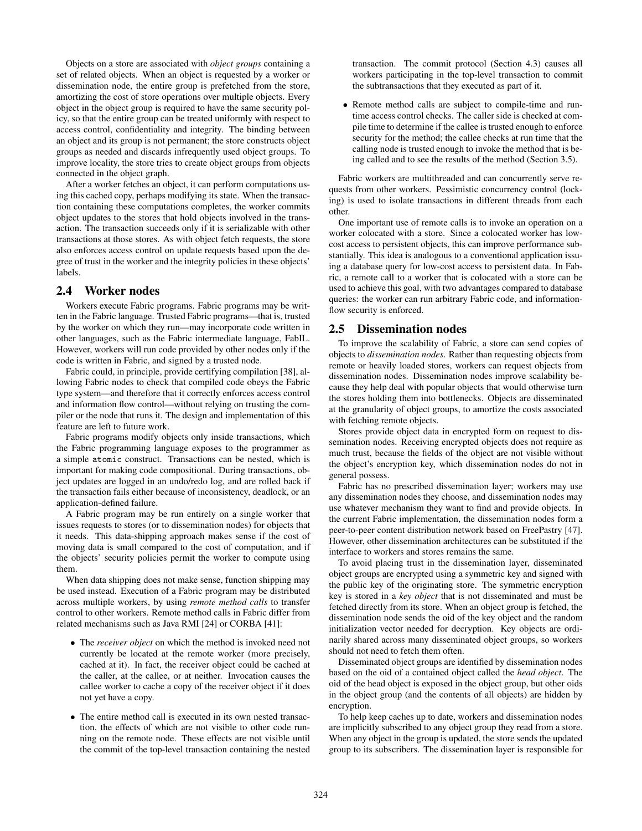Objects on a store are associated with *object groups* containing a set of related objects. When an object is requested by a worker or dissemination node, the entire group is prefetched from the store, amortizing the cost of store operations over multiple objects. Every object in the object group is required to have the same security policy, so that the entire group can be treated uniformly with respect to access control, confidentiality and integrity. The binding between an object and its group is not permanent; the store constructs object groups as needed and discards infrequently used object groups. To improve locality, the store tries to create object groups from objects connected in the object graph.

After a worker fetches an object, it can perform computations using this cached copy, perhaps modifying its state. When the transaction containing these computations completes, the worker commits object updates to the stores that hold objects involved in the transaction. The transaction succeeds only if it is serializable with other transactions at those stores. As with object fetch requests, the store also enforces access control on update requests based upon the degree of trust in the worker and the integrity policies in these objects' labels.

# 2.4 Worker nodes

Workers execute Fabric programs. Fabric programs may be written in the Fabric language. Trusted Fabric programs—that is, trusted by the worker on which they run—may incorporate code written in other languages, such as the Fabric intermediate language, FabIL. However, workers will run code provided by other nodes only if the code is written in Fabric, and signed by a trusted node.

Fabric could, in principle, provide certifying compilation [38], allowing Fabric nodes to check that compiled code obeys the Fabric type system—and therefore that it correctly enforces access control and information flow control—without relying on trusting the compiler or the node that runs it. The design and implementation of this feature are left to future work.

Fabric programs modify objects only inside transactions, which the Fabric programming language exposes to the programmer as a simple atomic construct. Transactions can be nested, which is important for making code compositional. During transactions, object updates are logged in an undo/redo log, and are rolled back if the transaction fails either because of inconsistency, deadlock, or an application-defined failure.

A Fabric program may be run entirely on a single worker that issues requests to stores (or to dissemination nodes) for objects that it needs. This data-shipping approach makes sense if the cost of moving data is small compared to the cost of computation, and if the objects' security policies permit the worker to compute using them.

When data shipping does not make sense, function shipping may be used instead. Execution of a Fabric program may be distributed across multiple workers, by using *remote method calls* to transfer control to other workers. Remote method calls in Fabric differ from related mechanisms such as Java RMI [24] or CORBA [41]:

- The *receiver object* on which the method is invoked need not currently be located at the remote worker (more precisely, cached at it). In fact, the receiver object could be cached at the caller, at the callee, or at neither. Invocation causes the callee worker to cache a copy of the receiver object if it does not yet have a copy.
- The entire method call is executed in its own nested transaction, the effects of which are not visible to other code running on the remote node. These effects are not visible until the commit of the top-level transaction containing the nested

transaction. The commit protocol (Section 4.3) causes all workers participating in the top-level transaction to commit the subtransactions that they executed as part of it.

• Remote method calls are subject to compile-time and runtime access control checks. The caller side is checked at compile time to determine if the callee is trusted enough to enforce security for the method; the callee checks at run time that the calling node is trusted enough to invoke the method that is being called and to see the results of the method (Section 3.5).

Fabric workers are multithreaded and can concurrently serve requests from other workers. Pessimistic concurrency control (locking) is used to isolate transactions in different threads from each other.

One important use of remote calls is to invoke an operation on a worker colocated with a store. Since a colocated worker has lowcost access to persistent objects, this can improve performance substantially. This idea is analogous to a conventional application issuing a database query for low-cost access to persistent data. In Fabric, a remote call to a worker that is colocated with a store can be used to achieve this goal, with two advantages compared to database queries: the worker can run arbitrary Fabric code, and informationflow security is enforced.

## 2.5 Dissemination nodes

To improve the scalability of Fabric, a store can send copies of objects to *dissemination nodes*. Rather than requesting objects from remote or heavily loaded stores, workers can request objects from dissemination nodes. Dissemination nodes improve scalability because they help deal with popular objects that would otherwise turn the stores holding them into bottlenecks. Objects are disseminated at the granularity of object groups, to amortize the costs associated with fetching remote objects.

Stores provide object data in encrypted form on request to dissemination nodes. Receiving encrypted objects does not require as much trust, because the fields of the object are not visible without the object's encryption key, which dissemination nodes do not in general possess.

Fabric has no prescribed dissemination layer; workers may use any dissemination nodes they choose, and dissemination nodes may use whatever mechanism they want to find and provide objects. In the current Fabric implementation, the dissemination nodes form a peer-to-peer content distribution network based on FreePastry [47]. However, other dissemination architectures can be substituted if the interface to workers and stores remains the same.

To avoid placing trust in the dissemination layer, disseminated object groups are encrypted using a symmetric key and signed with the public key of the originating store. The symmetric encryption key is stored in a *key object* that is not disseminated and must be fetched directly from its store. When an object group is fetched, the dissemination node sends the oid of the key object and the random initialization vector needed for decryption. Key objects are ordinarily shared across many disseminated object groups, so workers should not need to fetch them often.

Disseminated object groups are identified by dissemination nodes based on the oid of a contained object called the *head object*. The oid of the head object is exposed in the object group, but other oids in the object group (and the contents of all objects) are hidden by encryption.

To help keep caches up to date, workers and dissemination nodes are implicitly subscribed to any object group they read from a store. When any object in the group is updated, the store sends the updated group to its subscribers. The dissemination layer is responsible for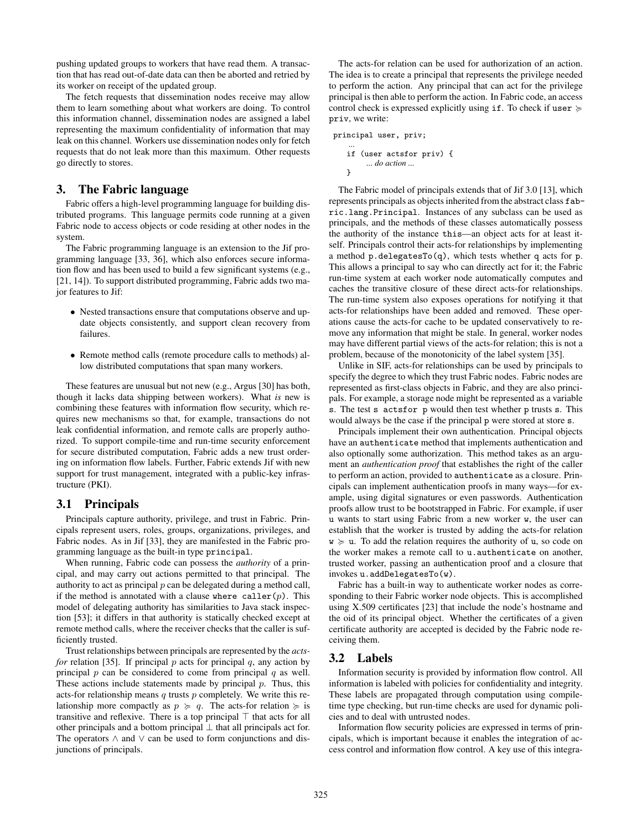pushing updated groups to workers that have read them. A transaction that has read out-of-date data can then be aborted and retried by its worker on receipt of the updated group.

The fetch requests that dissemination nodes receive may allow them to learn something about what workers are doing. To control this information channel, dissemination nodes are assigned a label representing the maximum confidentiality of information that may leak on this channel. Workers use dissemination nodes only for fetch requests that do not leak more than this maximum. Other requests go directly to stores.

# 3. The Fabric language

Fabric offers a high-level programming language for building distributed programs. This language permits code running at a given Fabric node to access objects or code residing at other nodes in the system.

The Fabric programming language is an extension to the Jif programming language [33, 36], which also enforces secure information flow and has been used to build a few significant systems (e.g., [21, 14]). To support distributed programming, Fabric adds two major features to Jif:

- Nested transactions ensure that computations observe and update objects consistently, and support clean recovery from failures.
- Remote method calls (remote procedure calls to methods) allow distributed computations that span many workers.

These features are unusual but not new (e.g., Argus [30] has both, though it lacks data shipping between workers). What *is* new is combining these features with information flow security, which requires new mechanisms so that, for example, transactions do not leak confidential information, and remote calls are properly authorized. To support compile-time and run-time security enforcement for secure distributed computation, Fabric adds a new trust ordering on information flow labels. Further, Fabric extends Jif with new support for trust management, integrated with a public-key infrastructure (PKI).

# 3.1 Principals

Principals capture authority, privilege, and trust in Fabric. Principals represent users, roles, groups, organizations, privileges, and Fabric nodes. As in Jif [33], they are manifested in the Fabric programming language as the built-in type principal.

When running, Fabric code can possess the *authority* of a principal, and may carry out actions permitted to that principal. The authority to act as principal  $p$  can be delegated during a method call, if the method is annotated with a clause where caller $(p)$ . This model of delegating authority has similarities to Java stack inspection [53]; it differs in that authority is statically checked except at remote method calls, where the receiver checks that the caller is sufficiently trusted.

Trust relationships between principals are represented by the *actsfor* relation [35]. If principal  $p$  acts for principal  $q$ , any action by principal  $p$  can be considered to come from principal  $q$  as well. These actions include statements made by principal  $p$ . Thus, this acts-for relationship means  $q$  trusts  $p$  completely. We write this relationship more compactly as  $p \ge q$ . The acts-for relation  $\succeq$  is transitive and reflexive. There is a top principal  $\top$  that acts for all other principals and a bottom principal  $\perp$  that all principals act for. The operators  $\land$  and  $\lor$  can be used to form conjunctions and disjunctions of principals.

The acts-for relation can be used for authorization of an action. The idea is to create a principal that represents the privilege needed to perform the action. Any principal that can act for the privilege principal is then able to perform the action. In Fabric code, an access control check is expressed explicitly using if. To check if user  $\succcurlyeq$ priv, we write:

principal user, priv;

```
...
if (user actsfor priv) {
     ... do action ...
}
```
The Fabric model of principals extends that of Jif 3.0 [13], which represents principals as objects inherited from the abstract class fabric.lang.Principal. Instances of any subclass can be used as principals, and the methods of these classes automatically possess the authority of the instance this—an object acts for at least itself. Principals control their acts-for relationships by implementing a method p.delegatesTo(q), which tests whether q acts for p. This allows a principal to say who can directly act for it; the Fabric run-time system at each worker node automatically computes and caches the transitive closure of these direct acts-for relationships. The run-time system also exposes operations for notifying it that acts-for relationships have been added and removed. These operations cause the acts-for cache to be updated conservatively to remove any information that might be stale. In general, worker nodes may have different partial views of the acts-for relation; this is not a problem, because of the monotonicity of the label system [35].

Unlike in SIF, acts-for relationships can be used by principals to specify the degree to which they trust Fabric nodes. Fabric nodes are represented as first-class objects in Fabric, and they are also principals. For example, a storage node might be represented as a variable s. The test s actsfor p would then test whether p trusts s. This would always be the case if the principal p were stored at store s.

Principals implement their own authentication. Principal objects have an authenticate method that implements authentication and also optionally some authorization. This method takes as an argument an *authentication proof* that establishes the right of the caller to perform an action, provided to authenticate as a closure. Principals can implement authentication proofs in many ways—for example, using digital signatures or even passwords. Authentication proofs allow trust to be bootstrapped in Fabric. For example, if user u wants to start using Fabric from a new worker w, the user can establish that the worker is trusted by adding the acts-for relation  $w \geq u$ . To add the relation requires the authority of u, so code on the worker makes a remote call to u.authenticate on another, trusted worker, passing an authentication proof and a closure that invokes u.addDelegatesTo(w).

Fabric has a built-in way to authenticate worker nodes as corresponding to their Fabric worker node objects. This is accomplished using X.509 certificates [23] that include the node's hostname and the oid of its principal object. Whether the certificates of a given certificate authority are accepted is decided by the Fabric node receiving them.

# 3.2 Labels

Information security is provided by information flow control. All information is labeled with policies for confidentiality and integrity. These labels are propagated through computation using compiletime type checking, but run-time checks are used for dynamic policies and to deal with untrusted nodes.

Information flow security policies are expressed in terms of principals, which is important because it enables the integration of access control and information flow control. A key use of this integra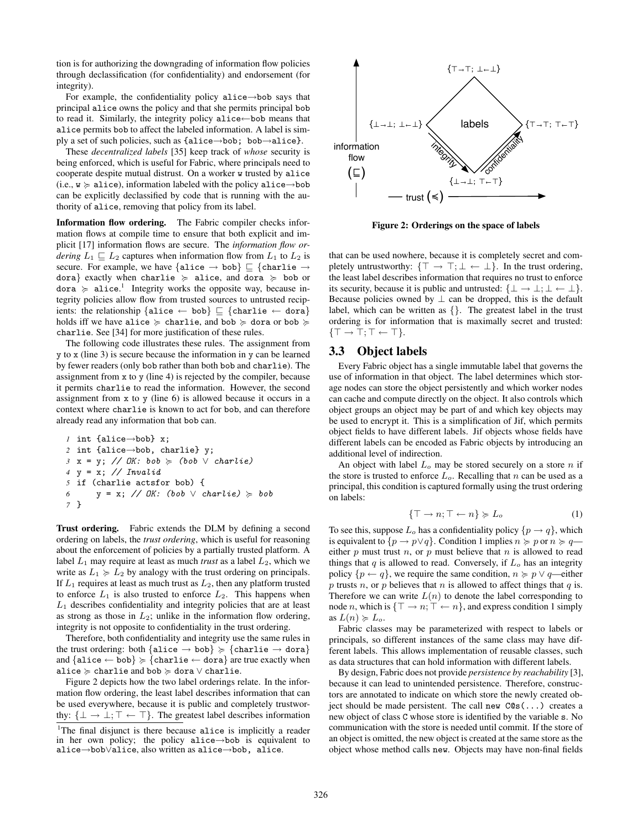tion is for authorizing the downgrading of information flow policies through declassification (for confidentiality) and endorsement (for integrity).

For example, the confidentiality policy alice→bob says that principal alice owns the policy and that she permits principal bob to read it. Similarly, the integrity policy alice←bob means that alice permits bob to affect the labeled information. A label is simply a set of such policies, such as {alice→bob; bob→alice}.

These *decentralized labels* [35] keep track of *whose* security is being enforced, which is useful for Fabric, where principals need to cooperate despite mutual distrust. On a worker w trusted by alice (i.e.,  $w \geq a$ lice), information labeled with the policy alice→bob can be explicitly declassified by code that is running with the authority of alice, removing that policy from its label.

Information flow ordering. The Fabric compiler checks information flows at compile time to ensure that both explicit and implicit [17] information flows are secure. The *information flow ordering*  $L_1 \subseteq L_2$  captures when information flow from  $L_1$  to  $L_2$  is secure. For example, we have {alice  $\rightarrow$  bob}  $\subseteq$  {charlie  $\rightarrow$ dora} exactly when charlie  $\succcurlyeq$  alice, and dora  $\succcurlyeq$  bob or  $\text{dora} \geq \text{alice}^1$  Integrity works the opposite way, because integrity policies allow flow from trusted sources to untrusted recipients: the relationship {alice ← bob}  $\sqsubseteq$  {charlie ← dora} holds iff we have alice  $\succcurlyeq$  charlie, and bob  $\succcurlyeq$  dora or bob  $\succcurlyeq$ charlie. See [34] for more justification of these rules.

The following code illustrates these rules. The assignment from y to x (line 3) is secure because the information in y can be learned by fewer readers (only bob rather than both bob and charlie). The assignment from x to y (line 4) is rejected by the compiler, because it permits charlie to read the information. However, the second assignment from x to y (line 6) is allowed because it occurs in a context where charlie is known to act for bob, and can therefore already read any information that bob can.

 int {alice→bob} x; int {alice→bob, charlie} y;  $3 \times = y$ ; // OK: bob  $\succ$  (bob  $\vee$  charlie) y = x; // Invalid if (charlie actsfor bob) {  $y = x$ ; // OK: (bob  $\vee$  charlie)  $\succcurlyeq$  bob *7* }

Trust ordering. Fabric extends the DLM by defining a second ordering on labels, the *trust ordering*, which is useful for reasoning about the enforcement of policies by a partially trusted platform. A label  $L_1$  may require at least as much *trust* as a label  $L_2$ , which we write as  $L_1 \geq L_2$  by analogy with the trust ordering on principals. If  $L_1$  requires at least as much trust as  $L_2$ , then any platform trusted to enforce  $L_1$  is also trusted to enforce  $L_2$ . This happens when  $L_1$  describes confidentiality and integrity policies that are at least as strong as those in  $L_2$ ; unlike in the information flow ordering, integrity is not opposite to confidentiality in the trust ordering.

Therefore, both confidentiality and integrity use the same rules in the trust ordering: both {alice  $\rightarrow$  bob}  $\succ$  {charlie  $\rightarrow$  dora} and  $\{ \text{alice} \leftarrow \text{bob} \} \succ \{ \text{charlie} \leftarrow \text{dora} \}$  are true exactly when  $\mathtt{alice} \succcurlyeq \mathtt{charlie}$  and  $\mathtt{bob} \succcurlyeq \mathtt{dora} \vee \mathtt{charlie}.$ 

Figure 2 depicts how the two label orderings relate. In the information flow ordering, the least label describes information that can be used everywhere, because it is public and completely trustworthy:  $\{\perp \rightarrow \perp, \top \leftarrow \top\}$ . The greatest label describes information



Figure 2: Orderings on the space of labels

that can be used nowhere, because it is completely secret and completely untrustworthy:  $\{\top \rightarrow \top; \bot \leftarrow \bot\}$ . In the trust ordering, the least label describes information that requires no trust to enforce its security, because it is public and untrusted:  $\{\perp \rightarrow \perp, \perp \leftarrow \perp\}$ . Because policies owned by  $\perp$  can be dropped, this is the default label, which can be written as {}. The greatest label in the trust ordering is for information that is maximally secret and trusted:  $\{T \rightarrow T; T \leftarrow T\}.$ 

# 3.3 Object labels

Every Fabric object has a single immutable label that governs the use of information in that object. The label determines which storage nodes can store the object persistently and which worker nodes can cache and compute directly on the object. It also controls which object groups an object may be part of and which key objects may be used to encrypt it. This is a simplification of Jif, which permits object fields to have different labels. Jif objects whose fields have different labels can be encoded as Fabric objects by introducing an additional level of indirection.

An object with label  $L<sub>o</sub>$  may be stored securely on a store n if the store is trusted to enforce  $L<sub>o</sub>$ . Recalling that n can be used as a principal, this condition is captured formally using the trust ordering on labels:

$$
\{\top \to n; \top \leftarrow n\} \succcurlyeq L_o \tag{1}
$$

To see this, suppose  $L_o$  has a confidentiality policy  $\{p \rightarrow q\}$ , which is equivalent to  $\{p \to p \lor q\}$ . Condition 1 implies  $n \succcurlyeq p$  or  $n \succcurlyeq q$  either  $p$  must trust  $n$ , or  $p$  must believe that  $n$  is allowed to read things that q is allowed to read. Conversely, if  $L<sub>o</sub>$  has an integrity policy  $\{p \leftarrow q\}$ , we require the same condition,  $n \geq p \vee q$ —either p trusts n, or p believes that n is allowed to affect things that  $q$  is. Therefore we can write  $L(n)$  to denote the label corresponding to node *n*, which is  $\{\top \rightarrow n; \top \leftarrow n\}$ , and express condition 1 simply as  $L(n) \geq L_o$ .

Fabric classes may be parameterized with respect to labels or principals, so different instances of the same class may have different labels. This allows implementation of reusable classes, such as data structures that can hold information with different labels.

By design, Fabric does not provide *persistence by reachability* [3], because it can lead to unintended persistence. Therefore, constructors are annotated to indicate on which store the newly created object should be made persistent. The call new  $C@s$  (...) creates a new object of class C whose store is identified by the variable s. No communication with the store is needed until commit. If the store of an object is omitted, the new object is created at the same store as the object whose method calls new. Objects may have non-final fields

<sup>&</sup>lt;sup>1</sup>The final disjunct is there because alice is implicitly a reader in her own policy; the policy alice→bob is equivalent to alice→bob∨alice, also written as alice→bob, alice.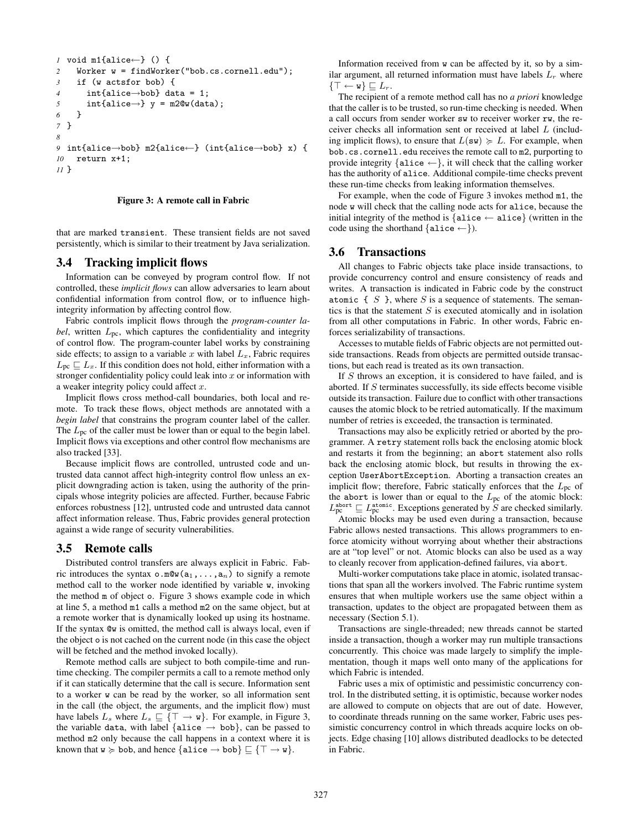```
1 void m1{alice←} () {
2 Worker w = findWorker("bob.cs.cornell.edu");
3 if (w actsfor bob) {
4 int{alice→bob} data = 1;
5 int{alice→} y = m2@w(data);
6 }
7 }
8
9 int{alice→bob} m2{alice←} (int{alice→bob} x) {
10 return x+1;
11 }
```
#### Figure 3: A remote call in Fabric

that are marked transient. These transient fields are not saved persistently, which is similar to their treatment by Java serialization.

# 3.4 Tracking implicit flows

Information can be conveyed by program control flow. If not controlled, these *implicit flows* can allow adversaries to learn about confidential information from control flow, or to influence highintegrity information by affecting control flow.

Fabric controls implicit flows through the *program-counter label*, written  $L_{\text{pc}}$ , which captures the confidentiality and integrity of control flow. The program-counter label works by constraining side effects; to assign to a variable x with label  $L<sub>x</sub>$ , Fabric requires  $L_{\text{pc}} \sqsubseteq L_x$ . If this condition does not hold, either information with a stronger confidentiality policy could leak into  $x$  or information with a weaker integrity policy could affect x.

Implicit flows cross method-call boundaries, both local and remote. To track these flows, object methods are annotated with a *begin label* that constrains the program counter label of the caller. The  $L_{\text{pc}}$  of the caller must be lower than or equal to the begin label. Implicit flows via exceptions and other control flow mechanisms are also tracked [33].

Because implicit flows are controlled, untrusted code and untrusted data cannot affect high-integrity control flow unless an explicit downgrading action is taken, using the authority of the principals whose integrity policies are affected. Further, because Fabric enforces robustness [12], untrusted code and untrusted data cannot affect information release. Thus, Fabric provides general protection against a wide range of security vulnerabilities.

# 3.5 Remote calls

Distributed control transfers are always explicit in Fabric. Fabric introduces the syntax  $o.m@w(a_1,...,a_n)$  to signify a remote method call to the worker node identified by variable w, invoking the method m of object o. Figure 3 shows example code in which at line 5, a method m1 calls a method m2 on the same object, but at a remote worker that is dynamically looked up using its hostname. If the syntax @w is omitted, the method call is always local, even if the object o is not cached on the current node (in this case the object will be fetched and the method invoked locally).

Remote method calls are subject to both compile-time and runtime checking. The compiler permits a call to a remote method only if it can statically determine that the call is secure. Information sent to a worker w can be read by the worker, so all information sent in the call (the object, the arguments, and the implicit flow) must have labels  $L_s$  where  $L_s \subseteq {\{\top \rightarrow w\}}$ . For example, in Figure 3, the variable data, with label  $\{ \text{alice} \rightarrow \text{bob} \}$ , can be passed to method m2 only because the call happens in a context where it is known that  $w \succcurlyeq$  bob, and hence  $\{\text{alice} \rightarrow \text{bob}\} \sqsubseteq {\top \rightarrow w}.$ 

Information received from w can be affected by it, so by a similar argument, all returned information must have labels  $L<sub>r</sub>$  where  $\{\top \leftarrow \mathbf{w}\} \sqsubseteq L_r.$ 

The recipient of a remote method call has no *a priori* knowledge that the caller is to be trusted, so run-time checking is needed. When a call occurs from sender worker sw to receiver worker rw, the receiver checks all information sent or received at label L (including implicit flows), to ensure that  $L(\mathbf{sw}) \geq L$ . For example, when bob.cs.cornell.edu receives the remote call to m2, purporting to provide integrity  $\{ \text{alice} \leftarrow \}$ , it will check that the calling worker has the authority of alice. Additional compile-time checks prevent these run-time checks from leaking information themselves.

For example, when the code of Figure 3 invokes method m1, the node w will check that the calling node acts for alice, because the initial integrity of the method is  $\{ \text{alice} \leftarrow \text{alice} \}$  (written in the code using the shorthand  $\{ \text{alice} \leftarrow \}$ ).

# 3.6 Transactions

All changes to Fabric objects take place inside transactions, to provide concurrency control and ensure consistency of reads and writes. A transaction is indicated in Fabric code by the construct atomic  $\{ S \}$ , where S is a sequence of statements. The semantics is that the statement  $S$  is executed atomically and in isolation from all other computations in Fabric. In other words, Fabric enforces serializability of transactions.

Accesses to mutable fields of Fabric objects are not permitted outside transactions. Reads from objects are permitted outside transactions, but each read is treated as its own transaction.

If S throws an exception, it is considered to have failed, and is aborted. If  $S$  terminates successfully, its side effects become visible outside its transaction. Failure due to conflict with other transactions causes the atomic block to be retried automatically. If the maximum number of retries is exceeded, the transaction is terminated.

Transactions may also be explicitly retried or aborted by the programmer. A retry statement rolls back the enclosing atomic block and restarts it from the beginning; an abort statement also rolls back the enclosing atomic block, but results in throwing the exception UserAbortException. Aborting a transaction creates an implicit flow; therefore, Fabric statically enforces that the  $L_{\text{pc}}$  of the abort is lower than or equal to the  $L_{\text{pc}}$  of the atomic block:  $L_{\text{pc}}^{\text{abort}} \sqsubseteq L_{\text{pc}}^{\text{atomic}}$ . Exceptions generated by S are checked similarly.

Atomic blocks may be used even during a transaction, because Fabric allows nested transactions. This allows programmers to enforce atomicity without worrying about whether their abstractions are at "top level" or not. Atomic blocks can also be used as a way to cleanly recover from application-defined failures, via abort.

Multi-worker computations take place in atomic, isolated transactions that span all the workers involved. The Fabric runtime system ensures that when multiple workers use the same object within a transaction, updates to the object are propagated between them as necessary (Section 5.1).

Transactions are single-threaded; new threads cannot be started inside a transaction, though a worker may run multiple transactions concurrently. This choice was made largely to simplify the implementation, though it maps well onto many of the applications for which Fabric is intended.

Fabric uses a mix of optimistic and pessimistic concurrency control. In the distributed setting, it is optimistic, because worker nodes are allowed to compute on objects that are out of date. However, to coordinate threads running on the same worker, Fabric uses pessimistic concurrency control in which threads acquire locks on objects. Edge chasing [10] allows distributed deadlocks to be detected in Fabric.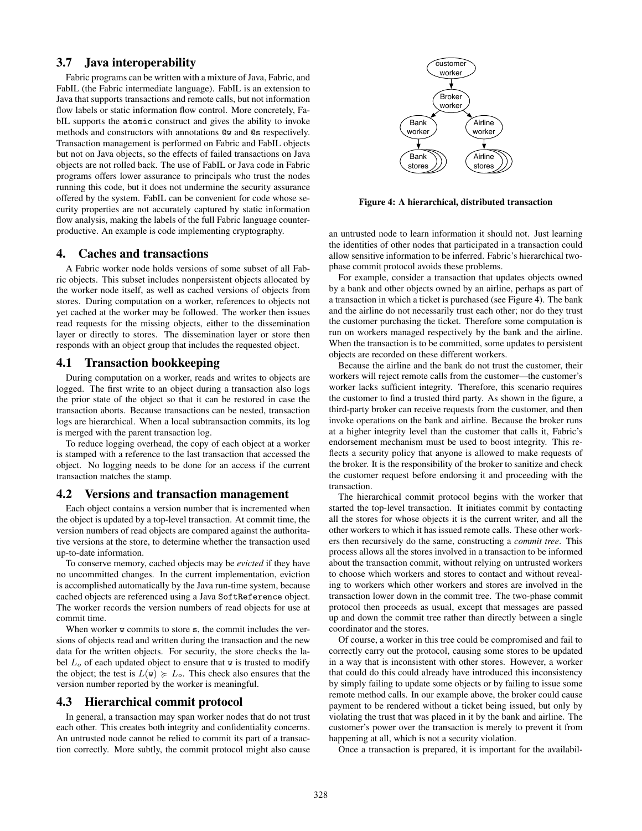# 3.7 Java interoperability

Fabric programs can be written with a mixture of Java, Fabric, and FabIL (the Fabric intermediate language). FabIL is an extension to Java that supports transactions and remote calls, but not information flow labels or static information flow control. More concretely, FabIL supports the atomic construct and gives the ability to invoke methods and constructors with annotations @w and @s respectively. Transaction management is performed on Fabric and FabIL objects but not on Java objects, so the effects of failed transactions on Java objects are not rolled back. The use of FabIL or Java code in Fabric programs offers lower assurance to principals who trust the nodes running this code, but it does not undermine the security assurance offered by the system. FabIL can be convenient for code whose security properties are not accurately captured by static information flow analysis, making the labels of the full Fabric language counterproductive. An example is code implementing cryptography.

# 4. Caches and transactions

A Fabric worker node holds versions of some subset of all Fabric objects. This subset includes nonpersistent objects allocated by the worker node itself, as well as cached versions of objects from stores. During computation on a worker, references to objects not yet cached at the worker may be followed. The worker then issues read requests for the missing objects, either to the dissemination layer or directly to stores. The dissemination layer or store then responds with an object group that includes the requested object.

# 4.1 Transaction bookkeeping

During computation on a worker, reads and writes to objects are logged. The first write to an object during a transaction also logs the prior state of the object so that it can be restored in case the transaction aborts. Because transactions can be nested, transaction logs are hierarchical. When a local subtransaction commits, its log is merged with the parent transaction log.

To reduce logging overhead, the copy of each object at a worker is stamped with a reference to the last transaction that accessed the object. No logging needs to be done for an access if the current transaction matches the stamp.

#### 4.2 Versions and transaction management

Each object contains a version number that is incremented when the object is updated by a top-level transaction. At commit time, the version numbers of read objects are compared against the authoritative versions at the store, to determine whether the transaction used up-to-date information.

To conserve memory, cached objects may be *evicted* if they have no uncommitted changes. In the current implementation, eviction is accomplished automatically by the Java run-time system, because cached objects are referenced using a Java SoftReference object. The worker records the version numbers of read objects for use at commit time.

When worker w commits to store s, the commit includes the versions of objects read and written during the transaction and the new data for the written objects. For security, the store checks the label  $L<sub>o</sub>$  of each updated object to ensure that w is trusted to modify the object; the test is  $L(\mathbf{w}) \geq L_o$ . This check also ensures that the version number reported by the worker is meaningful.

#### 4.3 Hierarchical commit protocol

In general, a transaction may span worker nodes that do not trust each other. This creates both integrity and confidentiality concerns. An untrusted node cannot be relied to commit its part of a transaction correctly. More subtly, the commit protocol might also cause



Figure 4: A hierarchical, distributed transaction

an untrusted node to learn information it should not. Just learning the identities of other nodes that participated in a transaction could allow sensitive information to be inferred. Fabric's hierarchical twophase commit protocol avoids these problems.

For example, consider a transaction that updates objects owned by a bank and other objects owned by an airline, perhaps as part of a transaction in which a ticket is purchased (see Figure 4). The bank and the airline do not necessarily trust each other; nor do they trust the customer purchasing the ticket. Therefore some computation is run on workers managed respectively by the bank and the airline. When the transaction is to be committed, some updates to persistent objects are recorded on these different workers.

Because the airline and the bank do not trust the customer, their workers will reject remote calls from the customer—the customer's worker lacks sufficient integrity. Therefore, this scenario requires the customer to find a trusted third party. As shown in the figure, a third-party broker can receive requests from the customer, and then invoke operations on the bank and airline. Because the broker runs at a higher integrity level than the customer that calls it, Fabric's endorsement mechanism must be used to boost integrity. This reflects a security policy that anyone is allowed to make requests of the broker. It is the responsibility of the broker to sanitize and check the customer request before endorsing it and proceeding with the transaction.

The hierarchical commit protocol begins with the worker that started the top-level transaction. It initiates commit by contacting all the stores for whose objects it is the current writer, and all the other workers to which it has issued remote calls. These other workers then recursively do the same, constructing a *commit tree*. This process allows all the stores involved in a transaction to be informed about the transaction commit, without relying on untrusted workers to choose which workers and stores to contact and without revealing to workers which other workers and stores are involved in the transaction lower down in the commit tree. The two-phase commit protocol then proceeds as usual, except that messages are passed up and down the commit tree rather than directly between a single coordinator and the stores.

Of course, a worker in this tree could be compromised and fail to correctly carry out the protocol, causing some stores to be updated in a way that is inconsistent with other stores. However, a worker that could do this could already have introduced this inconsistency by simply failing to update some objects or by failing to issue some remote method calls. In our example above, the broker could cause payment to be rendered without a ticket being issued, but only by violating the trust that was placed in it by the bank and airline. The customer's power over the transaction is merely to prevent it from happening at all, which is not a security violation.

Once a transaction is prepared, it is important for the availabil-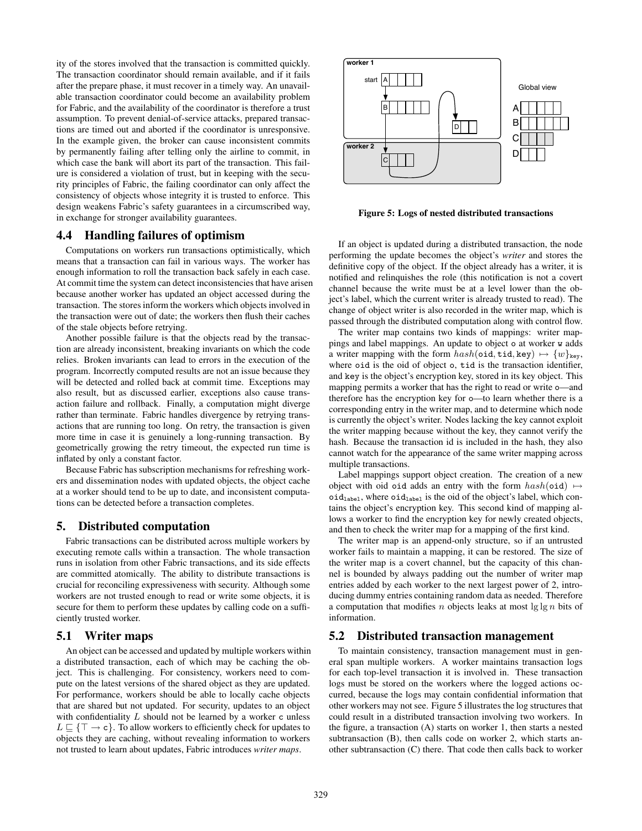ity of the stores involved that the transaction is committed quickly. The transaction coordinator should remain available, and if it fails after the prepare phase, it must recover in a timely way. An unavailable transaction coordinator could become an availability problem for Fabric, and the availability of the coordinator is therefore a trust assumption. To prevent denial-of-service attacks, prepared transactions are timed out and aborted if the coordinator is unresponsive. In the example given, the broker can cause inconsistent commits by permanently failing after telling only the airline to commit, in which case the bank will abort its part of the transaction. This failure is considered a violation of trust, but in keeping with the security principles of Fabric, the failing coordinator can only affect the consistency of objects whose integrity it is trusted to enforce. This design weakens Fabric's safety guarantees in a circumscribed way, in exchange for stronger availability guarantees.

# 4.4 Handling failures of optimism

Computations on workers run transactions optimistically, which means that a transaction can fail in various ways. The worker has enough information to roll the transaction back safely in each case. At commit time the system can detect inconsistencies that have arisen because another worker has updated an object accessed during the transaction. The stores inform the workers which objects involved in the transaction were out of date; the workers then flush their caches of the stale objects before retrying.

Another possible failure is that the objects read by the transaction are already inconsistent, breaking invariants on which the code relies. Broken invariants can lead to errors in the execution of the program. Incorrectly computed results are not an issue because they will be detected and rolled back at commit time. Exceptions may also result, but as discussed earlier, exceptions also cause transaction failure and rollback. Finally, a computation might diverge rather than terminate. Fabric handles divergence by retrying transactions that are running too long. On retry, the transaction is given more time in case it is genuinely a long-running transaction. By geometrically growing the retry timeout, the expected run time is inflated by only a constant factor.

Because Fabric has subscription mechanisms for refreshing workers and dissemination nodes with updated objects, the object cache at a worker should tend to be up to date, and inconsistent computations can be detected before a transaction completes.

# 5. Distributed computation

Fabric transactions can be distributed across multiple workers by executing remote calls within a transaction. The whole transaction runs in isolation from other Fabric transactions, and its side effects are committed atomically. The ability to distribute transactions is crucial for reconciling expressiveness with security. Although some workers are not trusted enough to read or write some objects, it is secure for them to perform these updates by calling code on a sufficiently trusted worker.

#### 5.1 Writer maps

An object can be accessed and updated by multiple workers within a distributed transaction, each of which may be caching the object. This is challenging. For consistency, workers need to compute on the latest versions of the shared object as they are updated. For performance, workers should be able to locally cache objects that are shared but not updated. For security, updates to an object with confidentiality  $L$  should not be learned by a worker c unless  $L \sqsubseteq {\{\top \rightarrow c\}}$ . To allow workers to efficiently check for updates to objects they are caching, without revealing information to workers not trusted to learn about updates, Fabric introduces *writer maps*.



Figure 5: Logs of nested distributed transactions

If an object is updated during a distributed transaction, the node performing the update becomes the object's *writer* and stores the definitive copy of the object. If the object already has a writer, it is notified and relinquishes the role (this notification is not a covert channel because the write must be at a level lower than the object's label, which the current writer is already trusted to read). The change of object writer is also recorded in the writer map, which is passed through the distributed computation along with control flow.

The writer map contains two kinds of mappings: writer mappings and label mappings. An update to object o at worker w adds a writer mapping with the form  $hash(oid, tid, key) \mapsto \{w\}_{key}$ , where oid is the oid of object o, tid is the transaction identifier, and key is the object's encryption key, stored in its key object. This mapping permits a worker that has the right to read or write o—and therefore has the encryption key for o—to learn whether there is a corresponding entry in the writer map, and to determine which node is currently the object's writer. Nodes lacking the key cannot exploit the writer mapping because without the key, they cannot verify the hash. Because the transaction id is included in the hash, they also cannot watch for the appearance of the same writer mapping across multiple transactions.

Label mappings support object creation. The creation of a new object with oid oid adds an entry with the form  $hash(oid) \rightarrow$ oid<sub>label</sub>, where oid<sub>label</sub> is the oid of the object's label, which contains the object's encryption key. This second kind of mapping allows a worker to find the encryption key for newly created objects, and then to check the writer map for a mapping of the first kind.

The writer map is an append-only structure, so if an untrusted worker fails to maintain a mapping, it can be restored. The size of the writer map is a covert channel, but the capacity of this channel is bounded by always padding out the number of writer map entries added by each worker to the next largest power of 2, introducing dummy entries containing random data as needed. Therefore a computation that modifies n objects leaks at most  $\lg \lg n$  bits of information.

#### 5.2 Distributed transaction management

To maintain consistency, transaction management must in general span multiple workers. A worker maintains transaction logs for each top-level transaction it is involved in. These transaction logs must be stored on the workers where the logged actions occurred, because the logs may contain confidential information that other workers may not see. Figure 5 illustrates the log structures that could result in a distributed transaction involving two workers. In the figure, a transaction (A) starts on worker 1, then starts a nested subtransaction (B), then calls code on worker 2, which starts another subtransaction (C) there. That code then calls back to worker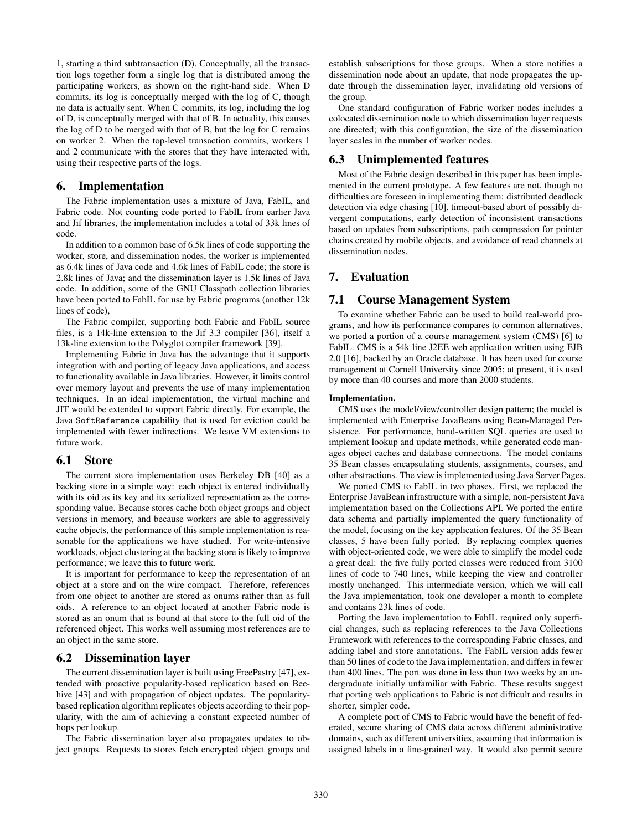1, starting a third subtransaction (D). Conceptually, all the transaction logs together form a single log that is distributed among the participating workers, as shown on the right-hand side. When D commits, its log is conceptually merged with the log of C, though no data is actually sent. When C commits, its log, including the log of D, is conceptually merged with that of B. In actuality, this causes the log of D to be merged with that of B, but the log for C remains on worker 2. When the top-level transaction commits, workers 1 and 2 communicate with the stores that they have interacted with, using their respective parts of the logs.

# 6. Implementation

The Fabric implementation uses a mixture of Java, FabIL, and Fabric code. Not counting code ported to FabIL from earlier Java and Jif libraries, the implementation includes a total of 33k lines of code.

In addition to a common base of 6.5k lines of code supporting the worker, store, and dissemination nodes, the worker is implemented as 6.4k lines of Java code and 4.6k lines of FabIL code; the store is 2.8k lines of Java; and the dissemination layer is 1.5k lines of Java code. In addition, some of the GNU Classpath collection libraries have been ported to FabIL for use by Fabric programs (another 12k lines of code),

The Fabric compiler, supporting both Fabric and FabIL source files, is a 14k-line extension to the Jif 3.3 compiler [36], itself a 13k-line extension to the Polyglot compiler framework [39].

Implementing Fabric in Java has the advantage that it supports integration with and porting of legacy Java applications, and access to functionality available in Java libraries. However, it limits control over memory layout and prevents the use of many implementation techniques. In an ideal implementation, the virtual machine and JIT would be extended to support Fabric directly. For example, the Java SoftReference capability that is used for eviction could be implemented with fewer indirections. We leave VM extensions to future work.

# 6.1 Store

The current store implementation uses Berkeley DB [40] as a backing store in a simple way: each object is entered individually with its oid as its key and its serialized representation as the corresponding value. Because stores cache both object groups and object versions in memory, and because workers are able to aggressively cache objects, the performance of this simple implementation is reasonable for the applications we have studied. For write-intensive workloads, object clustering at the backing store is likely to improve performance; we leave this to future work.

It is important for performance to keep the representation of an object at a store and on the wire compact. Therefore, references from one object to another are stored as onums rather than as full oids. A reference to an object located at another Fabric node is stored as an onum that is bound at that store to the full oid of the referenced object. This works well assuming most references are to an object in the same store.

# 6.2 Dissemination layer

The current dissemination layer is built using FreePastry [47], extended with proactive popularity-based replication based on Beehive [43] and with propagation of object updates. The popularitybased replication algorithm replicates objects according to their popularity, with the aim of achieving a constant expected number of hops per lookup.

The Fabric dissemination layer also propagates updates to object groups. Requests to stores fetch encrypted object groups and establish subscriptions for those groups. When a store notifies a dissemination node about an update, that node propagates the update through the dissemination layer, invalidating old versions of the group.

One standard configuration of Fabric worker nodes includes a colocated dissemination node to which dissemination layer requests are directed; with this configuration, the size of the dissemination layer scales in the number of worker nodes.

# 6.3 Unimplemented features

Most of the Fabric design described in this paper has been implemented in the current prototype. A few features are not, though no difficulties are foreseen in implementing them: distributed deadlock detection via edge chasing [10], timeout-based abort of possibly divergent computations, early detection of inconsistent transactions based on updates from subscriptions, path compression for pointer chains created by mobile objects, and avoidance of read channels at dissemination nodes.

## 7. Evaluation

## 7.1 Course Management System

To examine whether Fabric can be used to build real-world programs, and how its performance compares to common alternatives, we ported a portion of a course management system (CMS) [6] to FabIL. CMS is a 54k line J2EE web application written using EJB 2.0 [16], backed by an Oracle database. It has been used for course management at Cornell University since 2005; at present, it is used by more than 40 courses and more than 2000 students.

#### Implementation.

CMS uses the model/view/controller design pattern; the model is implemented with Enterprise JavaBeans using Bean-Managed Persistence. For performance, hand-written SQL queries are used to implement lookup and update methods, while generated code manages object caches and database connections. The model contains 35 Bean classes encapsulating students, assignments, courses, and other abstractions. The view is implemented using Java Server Pages.

We ported CMS to FabIL in two phases. First, we replaced the Enterprise JavaBean infrastructure with a simple, non-persistent Java implementation based on the Collections API. We ported the entire data schema and partially implemented the query functionality of the model, focusing on the key application features. Of the 35 Bean classes, 5 have been fully ported. By replacing complex queries with object-oriented code, we were able to simplify the model code a great deal: the five fully ported classes were reduced from 3100 lines of code to 740 lines, while keeping the view and controller mostly unchanged. This intermediate version, which we will call the Java implementation, took one developer a month to complete and contains 23k lines of code.

Porting the Java implementation to FabIL required only superficial changes, such as replacing references to the Java Collections Framework with references to the corresponding Fabric classes, and adding label and store annotations. The FabIL version adds fewer than 50 lines of code to the Java implementation, and differs in fewer than 400 lines. The port was done in less than two weeks by an undergraduate initially unfamiliar with Fabric. These results suggest that porting web applications to Fabric is not difficult and results in shorter, simpler code.

A complete port of CMS to Fabric would have the benefit of federated, secure sharing of CMS data across different administrative domains, such as different universities, assuming that information is assigned labels in a fine-grained way. It would also permit secure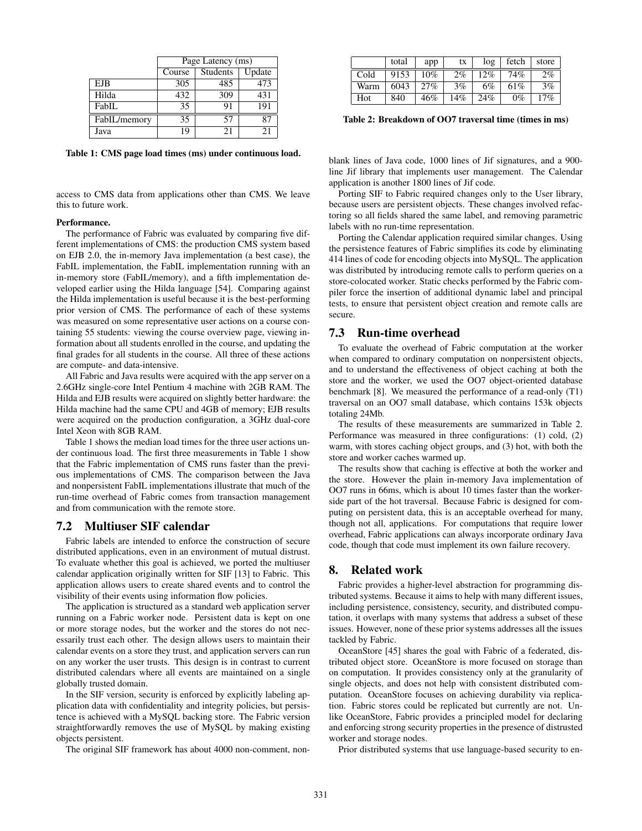|              | Page Latency (ms) |                 |        |  |  |  |
|--------------|-------------------|-----------------|--------|--|--|--|
|              | Course            | <b>Students</b> | Update |  |  |  |
| <b>EJB</b>   | 305               | 485             | 473    |  |  |  |
| Hilda        | 432               | 309             | 431    |  |  |  |
| FabIL        | 35                | 91              | 191    |  |  |  |
| FabIL/memory | 35                | 57              | 87     |  |  |  |
| Java         | 19                | 21              | 21     |  |  |  |

Table 1: CMS page load times (ms) under continuous load.

access to CMS data from applications other than CMS. We leave this to future work.

#### Performance.

The performance of Fabric was evaluated by comparing five different implementations of CMS: the production CMS system based on EJB 2.0, the in-memory Java implementation (a best case), the FabIL implementation, the FabIL implementation running with an in-memory store (FabIL/memory), and a fifth implementation developed earlier using the Hilda language [54]. Comparing against the Hilda implementation is useful because it is the best-performing prior version of CMS. The performance of each of these systems was measured on some representative user actions on a course containing 55 students: viewing the course overview page, viewing information about all students enrolled in the course, and updating the final grades for all students in the course. All three of these actions are compute- and data-intensive.

All Fabric and Java results were acquired with the app server on a 2.6GHz single-core Intel Pentium 4 machine with 2GB RAM. The Hilda and EJB results were acquired on slightly better hardware: the Hilda machine had the same CPU and 4GB of memory; EJB results were acquired on the production configuration, a 3GHz dual-core Intel Xeon with 8GB RAM.

Table 1 shows the median load times for the three user actions under continuous load. The first three measurements in Table 1 show that the Fabric implementation of CMS runs faster than the previous implementations of CMS. The comparison between the Java and nonpersistent FabIL implementations illustrate that much of the run-time overhead of Fabric comes from transaction management and from communication with the remote store.

## 7.2 Multiuser SIF calendar

Fabric labels are intended to enforce the construction of secure distributed applications, even in an environment of mutual distrust. To evaluate whether this goal is achieved, we ported the multiuser calendar application originally written for SIF [13] to Fabric. This application allows users to create shared events and to control the visibility of their events using information flow policies.

The application is structured as a standard web application server running on a Fabric worker node. Persistent data is kept on one or more storage nodes, but the worker and the stores do not necessarily trust each other. The design allows users to maintain their calendar events on a store they trust, and application servers can run on any worker the user trusts. This design is in contrast to current distributed calendars where all events are maintained on a single globally trusted domain.

In the SIF version, security is enforced by explicitly labeling application data with confidentiality and integrity policies, but persistence is achieved with a MySQL backing store. The Fabric version straightforwardly removes the use of MySQL by making existing objects persistent.

The original SIF framework has about 4000 non-comment, non-

|      | total | app    | tx    | log | fetch | store |
|------|-------|--------|-------|-----|-------|-------|
| Cold | 9153  | $10\%$ | $2\%$ | 12% | 74%   | 2%    |
| Warm | 6043  | 27%    | 3%    | 6%  | 61%   | 3%    |
| Hot  | 840   | 46%    | 14%   | 24% | $0\%$ | 17%   |

Table 2: Breakdown of OO7 traversal time (times in ms)

blank lines of Java code, 1000 lines of Jif signatures, and a 900 line Jif library that implements user management. The Calendar application is another 1800 lines of Jif code.

Porting SIF to Fabric required changes only to the User library, because users are persistent objects. These changes involved refactoring so all fields shared the same label, and removing parametric labels with no run-time representation.

Porting the Calendar application required similar changes. Using the persistence features of Fabric simplifies its code by eliminating 414 lines of code for encoding objects into MySQL. The application was distributed by introducing remote calls to perform queries on a store-colocated worker. Static checks performed by the Fabric compiler force the insertion of additional dynamic label and principal tests, to ensure that persistent object creation and remote calls are secure.

# 7.3 Run-time overhead

To evaluate the overhead of Fabric computation at the worker when compared to ordinary computation on nonpersistent objects, and to understand the effectiveness of object caching at both the store and the worker, we used the OO7 object-oriented database benchmark [8]. We measured the performance of a read-only (T1) traversal on an OO7 small database, which contains 153k objects totaling 24Mb.

The results of these measurements are summarized in Table 2. Performance was measured in three configurations: (1) cold, (2) warm, with stores caching object groups, and (3) hot, with both the store and worker caches warmed up.

The results show that caching is effective at both the worker and the store. However the plain in-memory Java implementation of OO7 runs in 66ms, which is about 10 times faster than the workerside part of the hot traversal. Because Fabric is designed for computing on persistent data, this is an acceptable overhead for many, though not all, applications. For computations that require lower overhead, Fabric applications can always incorporate ordinary Java code, though that code must implement its own failure recovery.

#### 8. Related work

Fabric provides a higher-level abstraction for programming distributed systems. Because it aims to help with many different issues, including persistence, consistency, security, and distributed computation, it overlaps with many systems that address a subset of these issues. However, none of these prior systems addresses all the issues tackled by Fabric.

OceanStore [45] shares the goal with Fabric of a federated, distributed object store. OceanStore is more focused on storage than on computation. It provides consistency only at the granularity of single objects, and does not help with consistent distributed computation. OceanStore focuses on achieving durability via replication. Fabric stores could be replicated but currently are not. Unlike OceanStore, Fabric provides a principled model for declaring and enforcing strong security properties in the presence of distrusted worker and storage nodes.

Prior distributed systems that use language-based security to en-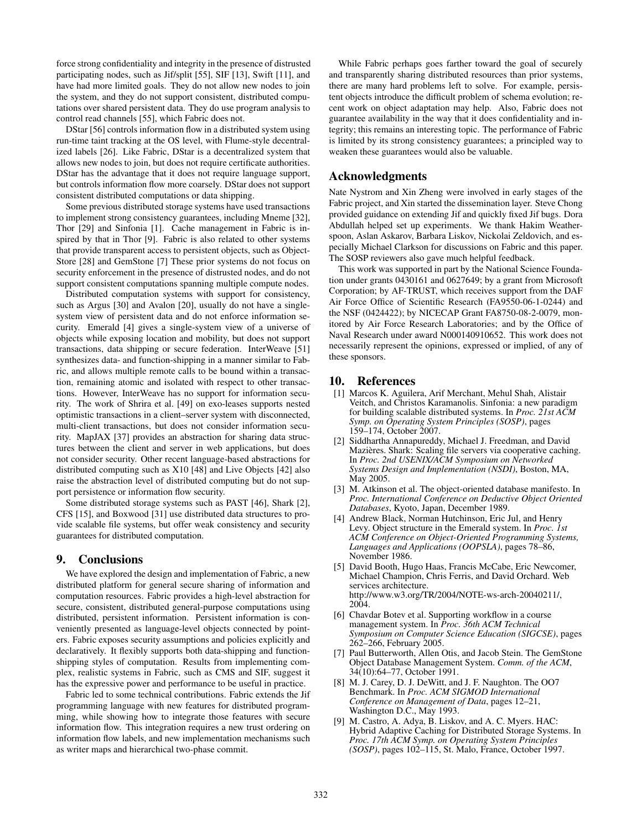force strong confidentiality and integrity in the presence of distrusted participating nodes, such as Jif/split [55], SIF [13], Swift [11], and have had more limited goals. They do not allow new nodes to join the system, and they do not support consistent, distributed computations over shared persistent data. They do use program analysis to control read channels [55], which Fabric does not.

DStar [56] controls information flow in a distributed system using run-time taint tracking at the OS level, with Flume-style decentralized labels [26]. Like Fabric, DStar is a decentralized system that allows new nodes to join, but does not require certificate authorities. DStar has the advantage that it does not require language support, but controls information flow more coarsely. DStar does not support consistent distributed computations or data shipping.

Some previous distributed storage systems have used transactions to implement strong consistency guarantees, including Mneme [32], Thor [29] and Sinfonia [1]. Cache management in Fabric is inspired by that in Thor [9]. Fabric is also related to other systems that provide transparent access to persistent objects, such as Object-Store [28] and GemStone [7] These prior systems do not focus on security enforcement in the presence of distrusted nodes, and do not support consistent computations spanning multiple compute nodes.

Distributed computation systems with support for consistency, such as Argus [30] and Avalon [20], usually do not have a singlesystem view of persistent data and do not enforce information security. Emerald [4] gives a single-system view of a universe of objects while exposing location and mobility, but does not support transactions, data shipping or secure federation. InterWeave [51] synthesizes data- and function-shipping in a manner similar to Fabric, and allows multiple remote calls to be bound within a transaction, remaining atomic and isolated with respect to other transactions. However, InterWeave has no support for information security. The work of Shrira et al. [49] on exo-leases supports nested optimistic transactions in a client–server system with disconnected, multi-client transactions, but does not consider information security. MapJAX [37] provides an abstraction for sharing data structures between the client and server in web applications, but does not consider security. Other recent language-based abstractions for distributed computing such as X10 [48] and Live Objects [42] also raise the abstraction level of distributed computing but do not support persistence or information flow security.

Some distributed storage systems such as PAST [46], Shark [2], CFS [15], and Boxwood [31] use distributed data structures to provide scalable file systems, but offer weak consistency and security guarantees for distributed computation.

# 9. Conclusions

We have explored the design and implementation of Fabric, a new distributed platform for general secure sharing of information and computation resources. Fabric provides a high-level abstraction for secure, consistent, distributed general-purpose computations using distributed, persistent information. Persistent information is conveniently presented as language-level objects connected by pointers. Fabric exposes security assumptions and policies explicitly and declaratively. It flexibly supports both data-shipping and functionshipping styles of computation. Results from implementing complex, realistic systems in Fabric, such as CMS and SIF, suggest it has the expressive power and performance to be useful in practice.

Fabric led to some technical contributions. Fabric extends the Jif programming language with new features for distributed programming, while showing how to integrate those features with secure information flow. This integration requires a new trust ordering on information flow labels, and new implementation mechanisms such as writer maps and hierarchical two-phase commit.

While Fabric perhaps goes farther toward the goal of securely and transparently sharing distributed resources than prior systems, there are many hard problems left to solve. For example, persistent objects introduce the difficult problem of schema evolution; recent work on object adaptation may help. Also, Fabric does not guarantee availability in the way that it does confidentiality and integrity; this remains an interesting topic. The performance of Fabric is limited by its strong consistency guarantees; a principled way to weaken these guarantees would also be valuable.

#### Acknowledgments

Nate Nystrom and Xin Zheng were involved in early stages of the Fabric project, and Xin started the dissemination layer. Steve Chong provided guidance on extending Jif and quickly fixed Jif bugs. Dora Abdullah helped set up experiments. We thank Hakim Weatherspoon, Aslan Askarov, Barbara Liskov, Nickolai Zeldovich, and especially Michael Clarkson for discussions on Fabric and this paper. The SOSP reviewers also gave much helpful feedback.

This work was supported in part by the National Science Foundation under grants 0430161 and 0627649; by a grant from Microsoft Corporation; by AF-TRUST, which receives support from the DAF Air Force Office of Scientific Research (FA9550-06-1-0244) and the NSF (0424422); by NICECAP Grant FA8750-08-2-0079, monitored by Air Force Research Laboratories; and by the Office of Naval Research under award N000140910652. This work does not necessarily represent the opinions, expressed or implied, of any of these sponsors.

#### 10. References

- [1] Marcos K. Aguilera, Arif Merchant, Mehul Shah, Alistair Veitch, and Christos Karamanolis. Sinfonia: a new paradigm for building scalable distributed systems. In *Proc. 21st ACM Symp. on Operating System Principles (SOSP)*, pages 159–174, October 2007.
- [2] Siddhartha Annapureddy, Michael J. Freedman, and David Mazières. Shark: Scaling file servers via cooperative caching. In *Proc. 2nd USENIX/ACM Symposium on Networked Systems Design and Implementation (NSDI)*, Boston, MA, May 2005.
- [3] M. Atkinson et al. The object-oriented database manifesto. In *Proc. International Conference on Deductive Object Oriented Databases*, Kyoto, Japan, December 1989.
- [4] Andrew Black, Norman Hutchinson, Eric Jul, and Henry Levy. Object structure in the Emerald system. In *Proc. 1st ACM Conference on Object-Oriented Programming Systems, Languages and Applications (OOPSLA)*, pages 78–86, November 1986.
- [5] David Booth, Hugo Haas, Francis McCabe, Eric Newcomer, Michael Champion, Chris Ferris, and David Orchard. Web services architecture. http://www.w3.org/TR/2004/NOTE-ws-arch-20040211/, 2004.
- [6] Chavdar Botev et al. Supporting workflow in a course management system. In *Proc. 36th ACM Technical Symposium on Computer Science Education (SIGCSE)*, pages 262–266, February 2005.
- [7] Paul Butterworth, Allen Otis, and Jacob Stein. The GemStone Object Database Management System. *Comm. of the ACM*, 34(10):64–77, October 1991.
- [8] M. J. Carey, D. J. DeWitt, and J. F. Naughton. The OO7 Benchmark. In *Proc. ACM SIGMOD International Conference on Management of Data*, pages 12–21, Washington D.C., May 1993.
- [9] M. Castro, A. Adya, B. Liskov, and A. C. Myers. HAC: Hybrid Adaptive Caching for Distributed Storage Systems. In *Proc. 17th ACM Symp. on Operating System Principles (SOSP)*, pages 102–115, St. Malo, France, October 1997.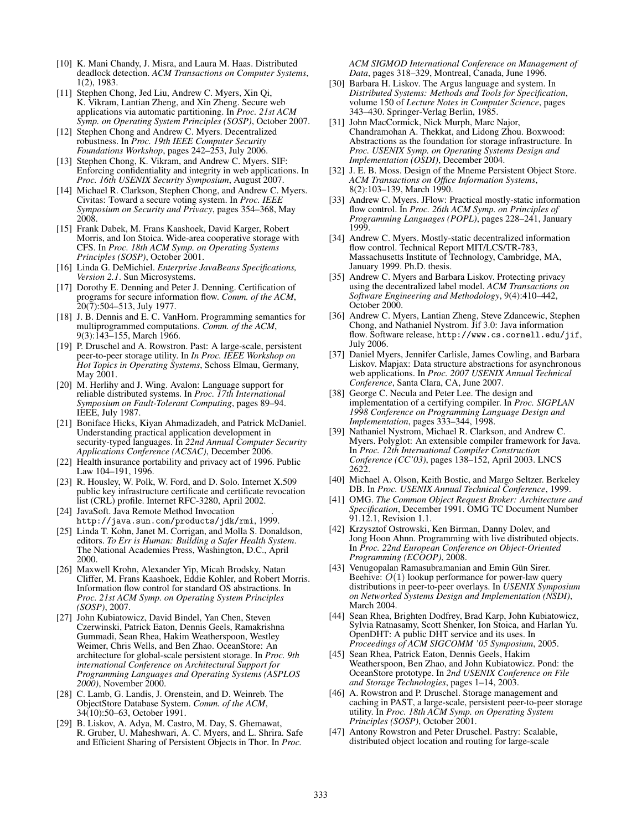- [10] K. Mani Chandy, J. Misra, and Laura M. Haas. Distributed deadlock detection. *ACM Transactions on Computer Systems*, 1(2), 1983.
- [11] Stephen Chong, Jed Liu, Andrew C. Myers, Xin Qi, K. Vikram, Lantian Zheng, and Xin Zheng. Secure web applications via automatic partitioning. In *Proc. 21st ACM Symp. on Operating System Principles (SOSP)*, October 2007.
- [12] Stephen Chong and Andrew C. Myers. Decentralized robustness. In *Proc. 19th IEEE Computer Security Foundations Workshop*, pages 242–253, July 2006.
- [13] Stephen Chong, K. Vikram, and Andrew C. Myers. SIF: Enforcing confidentiality and integrity in web applications. In *Proc. 16th USENIX Security Symposium*, August 2007.
- [14] Michael R. Clarkson, Stephen Chong, and Andrew C. Myers. Civitas: Toward a secure voting system. In *Proc. IEEE Symposium on Security and Privacy*, pages 354–368, May 2008.
- [15] Frank Dabek, M. Frans Kaashoek, David Karger, Robert Morris, and Ion Stoica. Wide-area cooperative storage with CFS. In *Proc. 18th ACM Symp. on Operating Systems Principles (SOSP)*, October 2001.
- [16] Linda G. DeMichiel. *Enterprise JavaBeans Specifications, Version 2.1*. Sun Microsystems.
- [17] Dorothy E. Denning and Peter J. Denning. Certification of programs for secure information flow. *Comm. of the ACM*, 20(7):504–513, July 1977.
- [18] J. B. Dennis and E. C. VanHorn. Programming semantics for multiprogrammed computations. *Comm. of the ACM*, 9(3):143–155, March 1966.
- [19] P. Druschel and A. Rowstron. Past: A large-scale, persistent peer-to-peer storage utility. In *In Proc. IEEE Workshop on Hot Topics in Operating Systems*, Schoss Elmau, Germany, May 2001.
- [20] M. Herlihy and J. Wing. Avalon: Language support for reliable distributed systems. In *Proc. 17th International Symposium on Fault-Tolerant Computing*, pages 89–94. IEEE, July 1987.
- [21] Boniface Hicks, Kiyan Ahmadizadeh, and Patrick McDaniel. Understanding practical application development in security-typed languages. In *22nd Annual Computer Security Applications Conference (ACSAC)*, December 2006.
- [22] Health insurance portability and privacy act of 1996. Public Law 104–191, 1996.
- [23] R. Housley, W. Polk, W. Ford, and D. Solo. Internet X.509 public key infrastructure certificate and certificate revocation list (CRL) profile. Internet RFC-3280, April 2002.
- [24] JavaSoft. Java Remote Method Invocation http://java.sun.com/products/jdk/rmi, 1999.
- [25] Linda T. Kohn, Janet M. Corrigan, and Molla S. Donaldson, editors. *To Err is Human: Building a Safer Health System*. The National Academies Press, Washington, D.C., April 2000.
- [26] Maxwell Krohn, Alexander Yip, Micah Brodsky, Natan Cliffer, M. Frans Kaashoek, Eddie Kohler, and Robert Morris. Information flow control for standard OS abstractions. In *Proc. 21st ACM Symp. on Operating System Principles (SOSP)*, 2007.
- [27] John Kubiatowicz, David Bindel, Yan Chen, Steven Czerwinski, Patrick Eaton, Dennis Geels, Ramakrishna Gummadi, Sean Rhea, Hakim Weatherspoon, Westley Weimer, Chris Wells, and Ben Zhao. OceanStore: An architecture for global-scale persistent storage. In *Proc. 9th international Conference on Architectural Support for Programming Languages and Operating Systems (ASPLOS 2000)*, November 2000.
- [28] C. Lamb, G. Landis, J. Orenstein, and D. Weinreb. The ObjectStore Database System. *Comm. of the ACM*, 34(10):50–63, October 1991.
- [29] B. Liskov, A. Adya, M. Castro, M. Day, S. Ghemawat, R. Gruber, U. Maheshwari, A. C. Myers, and L. Shrira. Safe and Efficient Sharing of Persistent Objects in Thor. In *Proc.*

*ACM SIGMOD International Conference on Management of Data*, pages 318–329, Montreal, Canada, June 1996.

- [30] Barbara H. Liskov. The Argus language and system. In *Distributed Systems: Methods and Tools for Specification*, volume 150 of *Lecture Notes in Computer Science*, pages 343–430. Springer-Verlag Berlin, 1985.
- [31] John MacCormick, Nick Murph, Marc Najor, Chandramohan A. Thekkat, and Lidong Zhou. Boxwood: Abstractions as the foundation for storage infrastructure. In *Proc. USENIX Symp. on Operating Systems Design and Implementation (OSDI)*, December 2004.
- [32] J. E. B. Moss. Design of the Mneme Persistent Object Store. *ACM Transactions on Office Information Systems*, 8(2):103–139, March 1990.
- [33] Andrew C. Myers. JFlow: Practical mostly-static information flow control. In *Proc. 26th ACM Symp. on Principles of Programming Languages (POPL)*, pages 228–241, January 1999.
- [34] Andrew C. Myers. Mostly-static decentralized information flow control. Technical Report MIT/LCS/TR-783, Massachusetts Institute of Technology, Cambridge, MA, January 1999. Ph.D. thesis.
- [35] Andrew C. Myers and Barbara Liskov. Protecting privacy using the decentralized label model. *ACM Transactions on Software Engineering and Methodology*, 9(4):410–442, October 2000.
- [36] Andrew C. Myers, Lantian Zheng, Steve Zdancewic, Stephen Chong, and Nathaniel Nystrom. Jif 3.0: Java information flow. Software release, http://www.cs.cornell.edu/jif, July 2006.
- [37] Daniel Myers, Jennifer Carlisle, James Cowling, and Barbara Liskov. Mapjax: Data structure abstractions for asynchronous web applications. In *Proc. 2007 USENIX Annual Technical Conference*, Santa Clara, CA, June 2007.
- [38] George C. Necula and Peter Lee. The design and implementation of a certifying compiler. In *Proc. SIGPLAN 1998 Conference on Programming Language Design and Implementation*, pages 333–344, 1998.
- [39] Nathaniel Nystrom, Michael R. Clarkson, and Andrew C. Myers. Polyglot: An extensible compiler framework for Java. In *Proc. 12th International Compiler Construction Conference (CC'03)*, pages 138–152, April 2003. LNCS 2622.
- [40] Michael A. Olson, Keith Bostic, and Margo Seltzer. Berkeley DB. In *Proc. USENIX Annual Technical Conference*, 1999.
- [41] OMG. *The Common Object Request Broker: Architecture and Specification*, December 1991. OMG TC Document Number 91.12.1, Revision 1.1.
- [42] Krzysztof Ostrowski, Ken Birman, Danny Dolev, and Jong Hoon Ahnn. Programming with live distributed objects. In *Proc. 22nd European Conference on Object-Oriented Programming (ECOOP)*, 2008.
- [43] Venugopalan Ramasubramanian and Emin Gün Sirer. Beehive:  $O(1)$  lookup performance for power-law query distributions in peer-to-peer overlays. In *USENIX Symposium on Networked Systems Design and Implementation (NSDI)*, March 2004.
- [44] Sean Rhea, Brighten Dodfrey, Brad Karp, John Kubiatowicz, Sylvia Ratnasamy, Scott Shenker, Ion Stoica, and Harlan Yu. OpenDHT: A public DHT service and its uses. In *Proceedings of ACM SIGCOMM '05 Symposium*, 2005.
- [45] Sean Rhea, Patrick Eaton, Dennis Geels, Hakim Weatherspoon, Ben Zhao, and John Kubiatowicz. Pond: the OceanStore prototype. In *2nd USENIX Conference on File and Storage Technologies*, pages 1–14, 2003.
- [46] A. Rowstron and P. Druschel. Storage management and caching in PAST, a large-scale, persistent peer-to-peer storage utility. In *Proc. 18th ACM Symp. on Operating System Principles (SOSP)*, October 2001.
- [47] Antony Rowstron and Peter Druschel. Pastry: Scalable, distributed object location and routing for large-scale